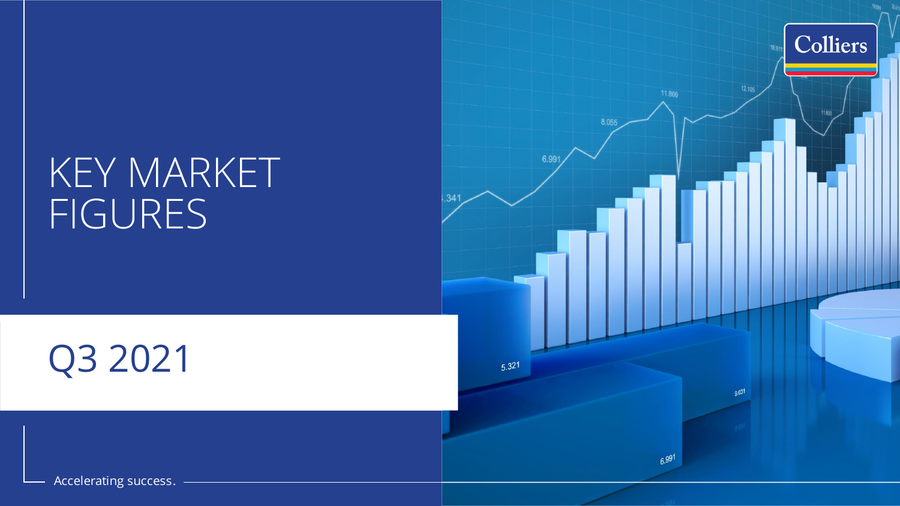## KEY MARKET FIGURES

# Q3 2021



Accelerating success.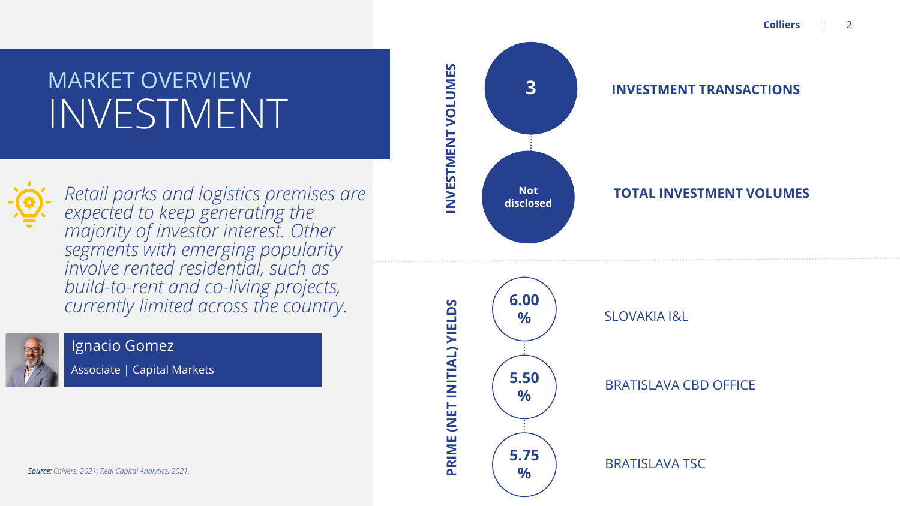# INVESTMENT



*Retail parks and logistics premises are expected to keep generating the majority of investor interest. Other segments with emerging popularity involve rented residential, such as build -to -rent and co -living projects, currently limited across the country.*



### Ignacio Gomez

Associate | Capital Markets











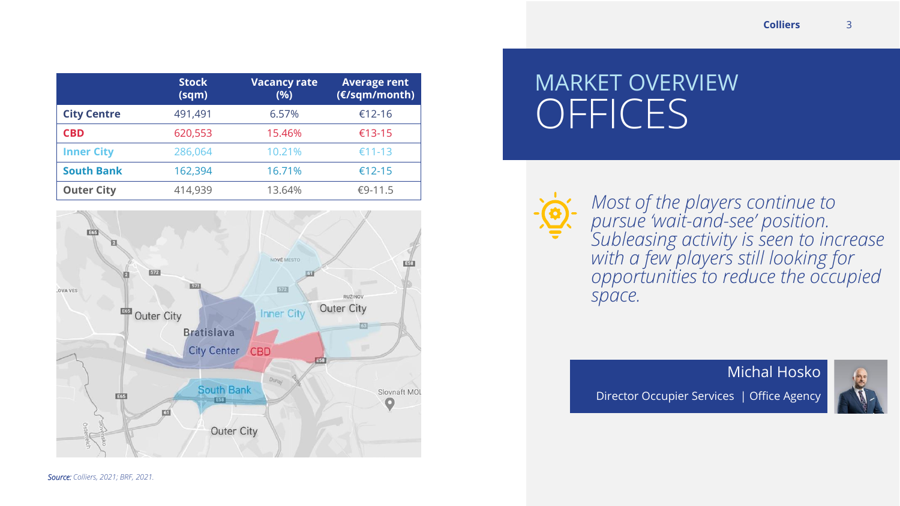|                    | <b>Stock</b><br>(sqm) | <b>Vacancy rate</b><br>(%) | <b>Average rent</b><br>(€/sqm/month) |
|--------------------|-----------------------|----------------------------|--------------------------------------|
| <b>City Centre</b> | 491,491               | 6.57%                      | €12-16                               |
| <b>CBD</b>         | 620,553               | 15.46%                     | €13-15                               |
| <b>Inner City</b>  | 286,064               | 10.21%                     | €11-13                               |
| <b>South Bank</b>  | 162,394               | 16.71%                     | €12-15                               |
| <b>Outer City</b>  | 414,939               | 13.64%                     | €9-11.5                              |



## **OFFICES** MARKET OVERVIEW

*Most of the players continue to pursue 'wait-and-see' position. Subleasing activity is seen to increase with a few players still looking for opportunities to reduce the occupied space.*

Director Occupier Services | Office Agency

Michal Hosko



*Source: Colliers, 2021; BRF, 2021.*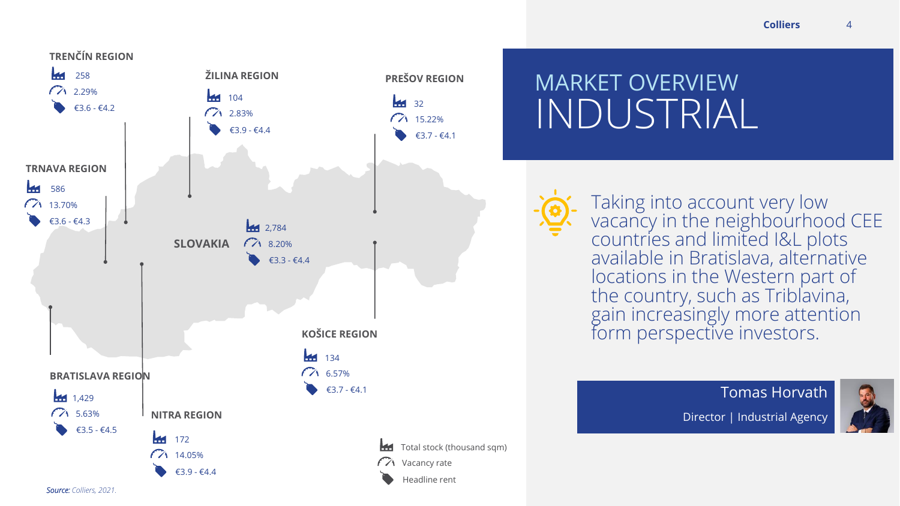

## INDUSTRIAL MARKET OVERVIEW

Taking into account very low vacancy in the neighbourhood CEE  $\,$ countries and limited I&L plots available in Bratislava, alternative locations in the Western part of the country, such as Triblavina, gain increasingly more attention form perspective investors.

> Tomas Horvath Director | Industrial Agency